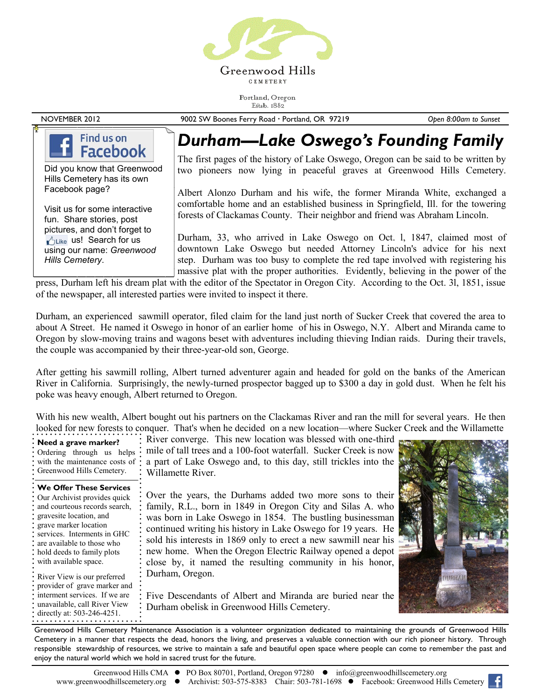

Portland, Oregon Estab. 1882

NOVEMBER 2012 9002 SW Boones Ferry Road Portland, OR 97219 *Open 8:00am to Sunset*

### Find us on **Facebook**

Did you know that Greenwood Hills Cemetery has its own Facebook page?

Visit us for some interactive fun. Share stories, post pictures, and don't forget to Like us! Search for us using our name: *Greenwood Hills Cemetery*.

## *Durham—Lake Oswego's Founding Family*

The first pages of the history of Lake Oswego, Oregon can be said to be written by two pioneers now lying in peaceful graves at Greenwood Hills Cemetery.

Albert Alonzo Durham and his wife, the former Miranda White, exchanged a comfortable home and an established business in Springfield, Ill. for the towering forests of Clackamas County. Their neighbor and friend was Abraham Lincoln.

Durham, 33, who arrived in Lake Oswego on Oct. l, 1847, claimed most of downtown Lake Oswego but needed Attorney Lincoln's advice for his next step. Durham was too busy to complete the red tape involved with registering his massive plat with the proper authorities. Evidently, believing in the power of the

press, Durham left his dream plat with the editor of the Spectator in Oregon City. According to the Oct. 3l, 1851, issue of the newspaper, all interested parties were invited to inspect it there.

Durham, an experienced sawmill operator, filed claim for the land just north of Sucker Creek that covered the area to about A Street. He named it Oswego in honor of an earlier home of his in Oswego, N.Y. Albert and Miranda came to Oregon by slow-moving trains and wagons beset with adventures including thieving Indian raids. During their travels, the couple was accompanied by their three-year-old son, George.

After getting his sawmill rolling, Albert turned adventurer again and headed for gold on the banks of the American River in California. Surprisingly, the newly-turned prospector bagged up to \$300 a day in gold dust. When he felt his poke was heavy enough, Albert returned to Oregon.

With his new wealth, Albert bought out his partners on the Clackamas River and ran the mill for several years. He then looked for new forests to conquer. That's when he decided on a new location—where Sucker Creek and the Willamette

| $\cdot$ Need a grave marker?<br>Ordering through us helps<br>· with the maintenance costs of<br>: Greenwood Hills Cemetery.                                                                                                                                                             | : River converge. This new location was blessed with one-third<br>: mile of tall trees and a 100-foot waterfall. Sucker Creek is now<br>: a part of Lake Oswego and, to this day, still trickles into the<br>: Willamette River.                                                                                                                                                                                                                         |  |
|-----------------------------------------------------------------------------------------------------------------------------------------------------------------------------------------------------------------------------------------------------------------------------------------|----------------------------------------------------------------------------------------------------------------------------------------------------------------------------------------------------------------------------------------------------------------------------------------------------------------------------------------------------------------------------------------------------------------------------------------------------------|--|
| <b>We Offer These Services</b><br>: Our Archivist provides quick<br>: and courteous records search,<br>: gravesite location, and<br>: grave marker location<br>: services. Interments in GHC<br>: are available to those who<br>: hold deeds to family plots<br>: with available space. | : Over the years, the Durhams added two more sons to their<br>; family, R.L., born in 1849 in Oregon City and Silas A. who<br>was born in Lake Oswego in 1854. The bustling businessman<br>: continued writing his history in Lake Oswego for 19 years. He<br>sold his interests in 1869 only to erect a new sawmill near his<br>: new home. When the Oregon Electric Railway opened a depot<br>close by, it named the resulting community in his honor, |  |
| • River View is our preferred<br>: provider of grave marker and<br>: interment services. If we are<br>: unavailable, call River View<br>: directly at: 503-246-4251.                                                                                                                    | : Durham, Oregon.<br>: Five Descendants of Albert and Miranda are buried near the<br><b>Example 1</b> Durham obelisk in Greenwood Hills Cemetery.                                                                                                                                                                                                                                                                                                        |  |

Greenwood Hills Cemetery Maintenance Association is a volunteer organization dedicated to maintaining the grounds of Greenwood Hills Cemetery in a manner that respects the dead, honors the living, and preserves a valuable connection with our rich pioneer history. Through responsible stewardship of resources, we strive to maintain a safe and beautiful open space where people can come to remember the past and enjoy the natural world which we hold in sacred trust for the future.